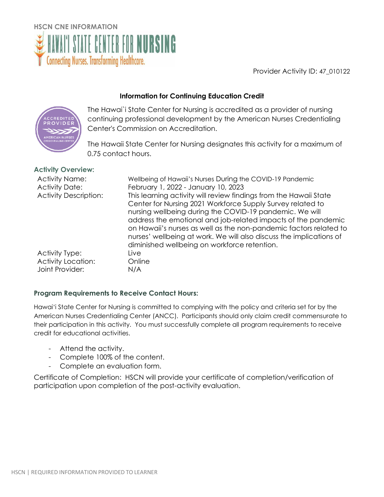

Provider Activity ID: 47\_010122

# **Information for Continuing Education Credit**



The Hawai`i State Center for Nursing is accredited as a provider of nursing continuing professional development by the American Nurses Credentialing Center's Commission on Accreditation.

The Hawaii State Center for Nursing designates this activity for a maximum of 0.75 contact hours.

## **Activity Overview:**

| <b>Activity Name:</b><br><b>Activity Date:</b><br><b>Activity Description:</b> | Wellbeing of Hawaii's Nurses During the COVID-19 Pandemic<br>February 1, 2022 - January 10, 2023<br>This learning activity will review findings from the Hawaii State<br>Center for Nursing 2021 Workforce Supply Survey related to<br>nursing wellbeing during the COVID-19 pandemic. We will<br>address the emotional and job-related impacts of the pandemic<br>on Hawaii's nurses as well as the non-pandemic factors related to<br>nurses' wellbeing at work. We will also discuss the implications of<br>diminished wellbeing on workforce retention. |
|--------------------------------------------------------------------------------|-------------------------------------------------------------------------------------------------------------------------------------------------------------------------------------------------------------------------------------------------------------------------------------------------------------------------------------------------------------------------------------------------------------------------------------------------------------------------------------------------------------------------------------------------------------|
| Activity Type:                                                                 | Live                                                                                                                                                                                                                                                                                                                                                                                                                                                                                                                                                        |
| <b>Activity Location:</b>                                                      | Online                                                                                                                                                                                                                                                                                                                                                                                                                                                                                                                                                      |
| Joint Provider:                                                                | N/A                                                                                                                                                                                                                                                                                                                                                                                                                                                                                                                                                         |

## **Program Requirements to Receive Contact Hours:**

Hawai'i State Center for Nursing is committed to complying with the policy and criteria set for by the American Nurses Credentialing Center (ANCC). Participants should only claim credit commensurate to their participation in this activity.You must successfully complete all program requirements to receive credit for educational activities.

- Attend the activity.
- Complete 100% of the content.
- Complete an evaluation form.

Certificate of Completion: HSCN will provide your certificate of completion/verification of participation upon completion of the post-activity evaluation.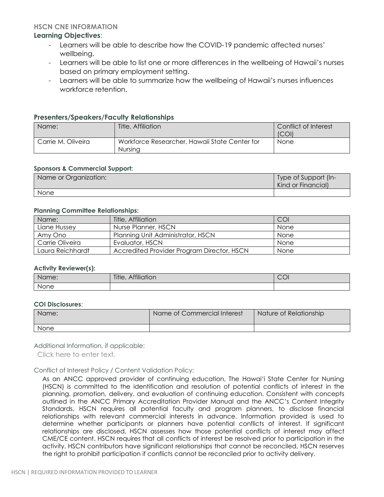### **HSCN CNE INFORMATION**

## **Learning Objectives**:

- Learners will be able to describe how the COVID-19 pandemic affected nurses' wellbeing.
- Learners will be able to list one or more differences in the wellbeing of Hawaii's nurses based on primary employment setting.
- Learners will be able to summarize how the wellbeing of Hawaii's nurses influences workforce retention.

## **Presenters/Speakers/Faculty Relationships**

| Name:              | Title, Affiliation                                       | Conflict of Interest<br>(COI) |
|--------------------|----------------------------------------------------------|-------------------------------|
| Carrie M. Oliveira | Workforce Researcher, Hawaii State Center for<br>Nursina | None                          |

### **Sponsors & Commercial Support:**

| Name or Organization: | Type of Support (In-<br>Kind or Financial) |
|-----------------------|--------------------------------------------|
| None                  |                                            |

### **Planning Committee Relationships:**

| Name:            | Title, Affiliation                         | COI  |
|------------------|--------------------------------------------|------|
| Liane Hussey     | Nurse Planner, HSCN                        | None |
| Amy Ono          | Planning Unit Administrator, HSCN          | None |
| Carrie Oliveira  | Evaluator, HSCN                            | None |
| Laura Reichhardt | Accredited Provider Program Director, HSCN | None |

#### **Activity Reviewer(s):**

| Name: | Title, Affiliation | $\cap \cap'$<br>◡◡ |
|-------|--------------------|--------------------|
| None  |                    |                    |

### **COI Disclosures**:

| Name: | Name of Commercial Interest | Nature of Relationship |
|-------|-----------------------------|------------------------|
| None  |                             |                        |

Additional Information, if applicable:

Click here to enter text.

Conflict of Interest Policy / Content Validation Policy:

As an ANCC approved provider of continuing education, The Hawai'i State Center for Nursing (HSCN) is committed to the identification and resolution of potential conflicts of interest in the planning, promotion, delivery, and evaluation of continuing education. Consistent with concepts outlined in the ANCC Primary Accreditation Provider Manual and the ANCC's Content Integrity Standards, HSCN requires all potential faculty and program planners, to disclose financial relationships with relevant commercial interests in advance. Information provided is used to determine whether participants or planners have potential conflicts of interest. If significant relationships are disclosed, HSCN assesses how those potential conflicts of interest may affect CME/CE content. HSCN requires that all conflicts of interest be resolved prior to participation in the activity. HSCN contributors have significant relationships that cannot be reconciled, HSCN reserves the right to prohibit participation if conflicts cannot be reconciled prior to activity delivery.